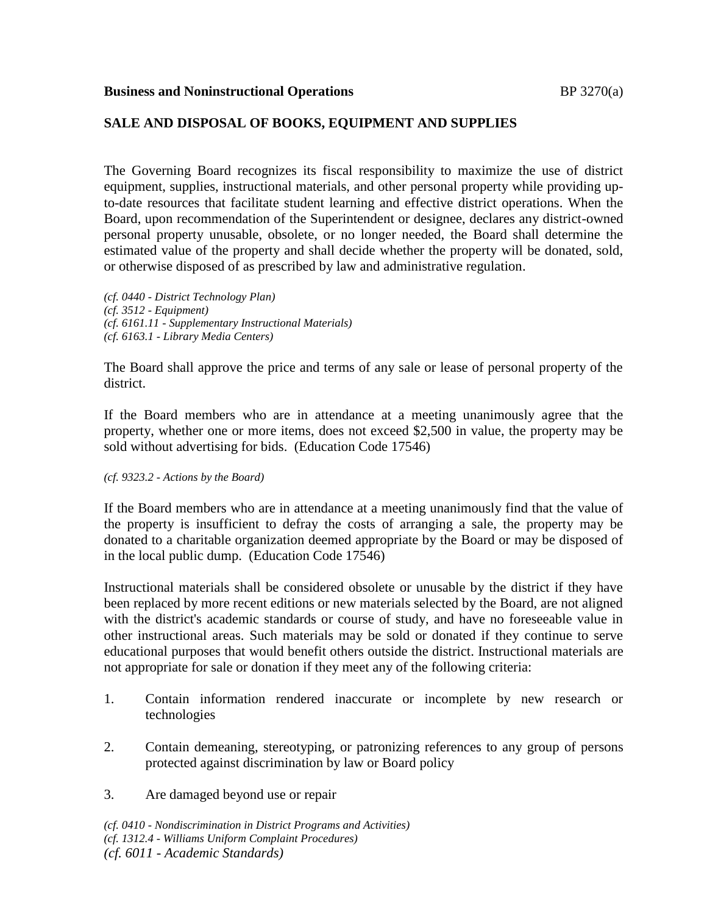## **Business and Noninstructional Operations BP** 3270(a)

# **SALE AND DISPOSAL OF BOOKS, EQUIPMENT AND SUPPLIES**

The Governing Board recognizes its fiscal responsibility to maximize the use of district equipment, supplies, instructional materials, and other personal property while providing upto-date resources that facilitate student learning and effective district operations. When the Board, upon recommendation of the Superintendent or designee, declares any district-owned personal property unusable, obsolete, or no longer needed, the Board shall determine the estimated value of the property and shall decide whether the property will be donated, sold, or otherwise disposed of as prescribed by law and administrative regulation.

*(cf. 0440 - District Technology Plan) (cf. 3512 - Equipment) (cf. 6161.11 - Supplementary Instructional Materials) (cf. 6163.1 - Library Media Centers)*

The Board shall approve the price and terms of any sale or lease of personal property of the district.

If the Board members who are in attendance at a meeting unanimously agree that the property, whether one or more items, does not exceed \$2,500 in value, the property may be sold without advertising for bids. (Education Code 17546)

#### *(cf. 9323.2 - Actions by the Board)*

If the Board members who are in attendance at a meeting unanimously find that the value of the property is insufficient to defray the costs of arranging a sale, the property may be donated to a charitable organization deemed appropriate by the Board or may be disposed of in the local public dump. (Education Code 17546)

Instructional materials shall be considered obsolete or unusable by the district if they have been replaced by more recent editions or new materials selected by the Board, are not aligned with the district's academic standards or course of study, and have no foreseeable value in other instructional areas. Such materials may be sold or donated if they continue to serve educational purposes that would benefit others outside the district. Instructional materials are not appropriate for sale or donation if they meet any of the following criteria:

- 1. Contain information rendered inaccurate or incomplete by new research or technologies
- 2. Contain demeaning, stereotyping, or patronizing references to any group of persons protected against discrimination by law or Board policy
- 3. Are damaged beyond use or repair

*(cf. 0410 - Nondiscrimination in District Programs and Activities) (cf. 1312.4 - Williams Uniform Complaint Procedures) (cf. 6011 - Academic Standards)*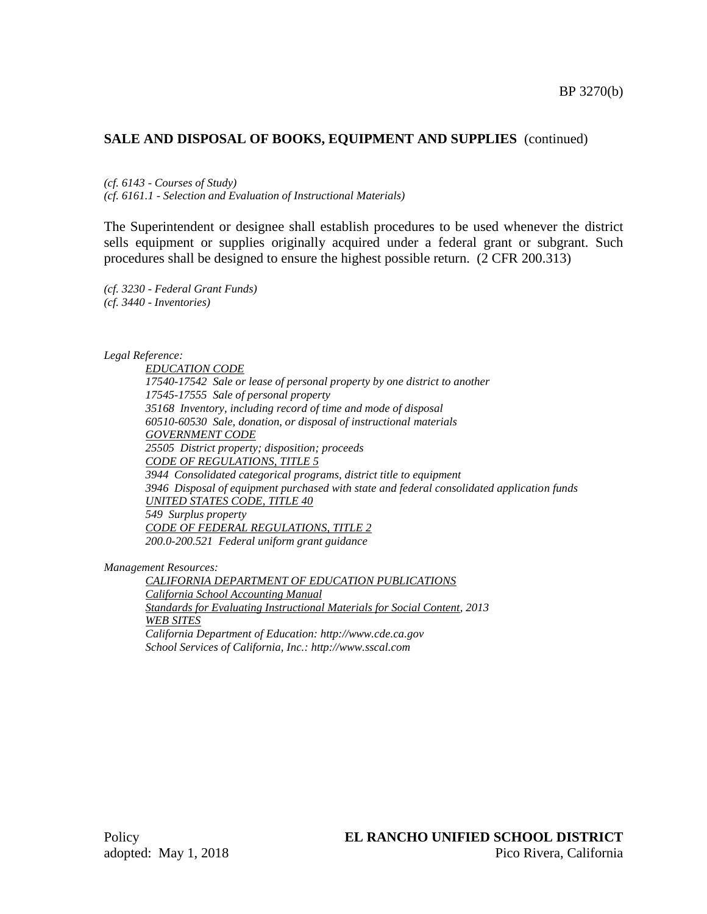## **SALE AND DISPOSAL OF BOOKS, EQUIPMENT AND SUPPLIES** (continued)

*(cf. 6143 - Courses of Study)*

*(cf. 6161.1 - Selection and Evaluation of Instructional Materials)*

The Superintendent or designee shall establish procedures to be used whenever the district sells equipment or supplies originally acquired under a federal grant or subgrant. Such procedures shall be designed to ensure the highest possible return. (2 CFR 200.313)

*(cf. 3230 - Federal Grant Funds) (cf. 3440 - Inventories)*

*Legal Reference:*

*EDUCATION CODE 17540-17542 Sale or lease of personal property by one district to another 17545-17555 Sale of personal property 35168 Inventory, including record of time and mode of disposal 60510-60530 Sale, donation, or disposal of instructional materials GOVERNMENT CODE 25505 District property; disposition; proceeds CODE OF REGULATIONS, TITLE 5 3944 Consolidated categorical programs, district title to equipment 3946 Disposal of equipment purchased with state and federal consolidated application funds UNITED STATES CODE, TITLE 40 549 Surplus property CODE OF FEDERAL REGULATIONS, TITLE 2 200.0-200.521 Federal uniform grant guidance*

*Management Resources:*

*CALIFORNIA DEPARTMENT OF EDUCATION PUBLICATIONS California School Accounting Manual Standards for Evaluating Instructional Materials for Social Content, 2013 WEB SITES California Department of Education: http://www.cde.ca.gov School Services of California, Inc.: http://www.sscal.com*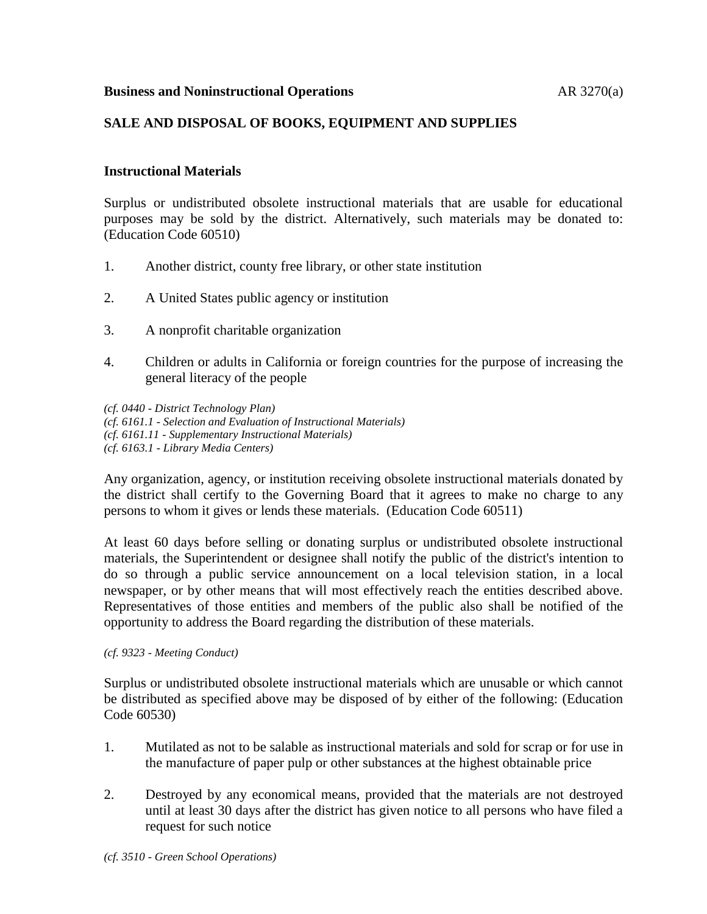## **Business and Noninstructional Operations** AR 3270(a)

## **SALE AND DISPOSAL OF BOOKS, EQUIPMENT AND SUPPLIES**

## **Instructional Materials**

Surplus or undistributed obsolete instructional materials that are usable for educational purposes may be sold by the district. Alternatively, such materials may be donated to: (Education Code 60510)

- 1. Another district, county free library, or other state institution
- 2. A United States public agency or institution
- 3. A nonprofit charitable organization
- 4. Children or adults in California or foreign countries for the purpose of increasing the general literacy of the people

*(cf. 0440 - District Technology Plan) (cf. 6161.1 - Selection and Evaluation of Instructional Materials) (cf. 6161.11 - Supplementary Instructional Materials) (cf. 6163.1 - Library Media Centers)*

Any organization, agency, or institution receiving obsolete instructional materials donated by the district shall certify to the Governing Board that it agrees to make no charge to any persons to whom it gives or lends these materials. (Education Code 60511)

At least 60 days before selling or donating surplus or undistributed obsolete instructional materials, the Superintendent or designee shall notify the public of the district's intention to do so through a public service announcement on a local television station, in a local newspaper, or by other means that will most effectively reach the entities described above. Representatives of those entities and members of the public also shall be notified of the opportunity to address the Board regarding the distribution of these materials.

*(cf. 9323 - Meeting Conduct)*

Surplus or undistributed obsolete instructional materials which are unusable or which cannot be distributed as specified above may be disposed of by either of the following: (Education Code 60530)

- 1. Mutilated as not to be salable as instructional materials and sold for scrap or for use in the manufacture of paper pulp or other substances at the highest obtainable price
- 2. Destroyed by any economical means, provided that the materials are not destroyed until at least 30 days after the district has given notice to all persons who have filed a request for such notice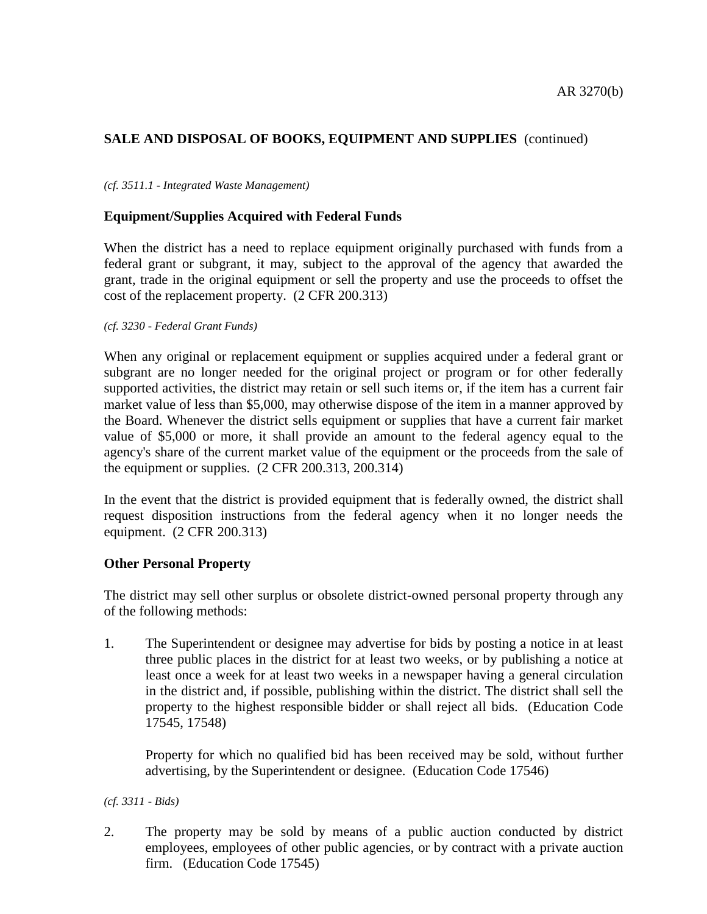# **SALE AND DISPOSAL OF BOOKS, EQUIPMENT AND SUPPLIES** (continued)

### *(cf. 3511.1 - Integrated Waste Management)*

## **Equipment/Supplies Acquired with Federal Funds**

When the district has a need to replace equipment originally purchased with funds from a federal grant or subgrant, it may, subject to the approval of the agency that awarded the grant, trade in the original equipment or sell the property and use the proceeds to offset the cost of the replacement property. (2 CFR 200.313)

#### *(cf. 3230 - Federal Grant Funds)*

When any original or replacement equipment or supplies acquired under a federal grant or subgrant are no longer needed for the original project or program or for other federally supported activities, the district may retain or sell such items or, if the item has a current fair market value of less than \$5,000, may otherwise dispose of the item in a manner approved by the Board. Whenever the district sells equipment or supplies that have a current fair market value of \$5,000 or more, it shall provide an amount to the federal agency equal to the agency's share of the current market value of the equipment or the proceeds from the sale of the equipment or supplies. (2 CFR 200.313, 200.314)

In the event that the district is provided equipment that is federally owned, the district shall request disposition instructions from the federal agency when it no longer needs the equipment. (2 CFR 200.313)

### **Other Personal Property**

The district may sell other surplus or obsolete district-owned personal property through any of the following methods:

1. The Superintendent or designee may advertise for bids by posting a notice in at least three public places in the district for at least two weeks, or by publishing a notice at least once a week for at least two weeks in a newspaper having a general circulation in the district and, if possible, publishing within the district. The district shall sell the property to the highest responsible bidder or shall reject all bids. (Education Code 17545, 17548)

Property for which no qualified bid has been received may be sold, without further advertising, by the Superintendent or designee. (Education Code 17546)

*(cf. 3311 - Bids)*

2. The property may be sold by means of a public auction conducted by district employees, employees of other public agencies, or by contract with a private auction firm. (Education Code 17545)